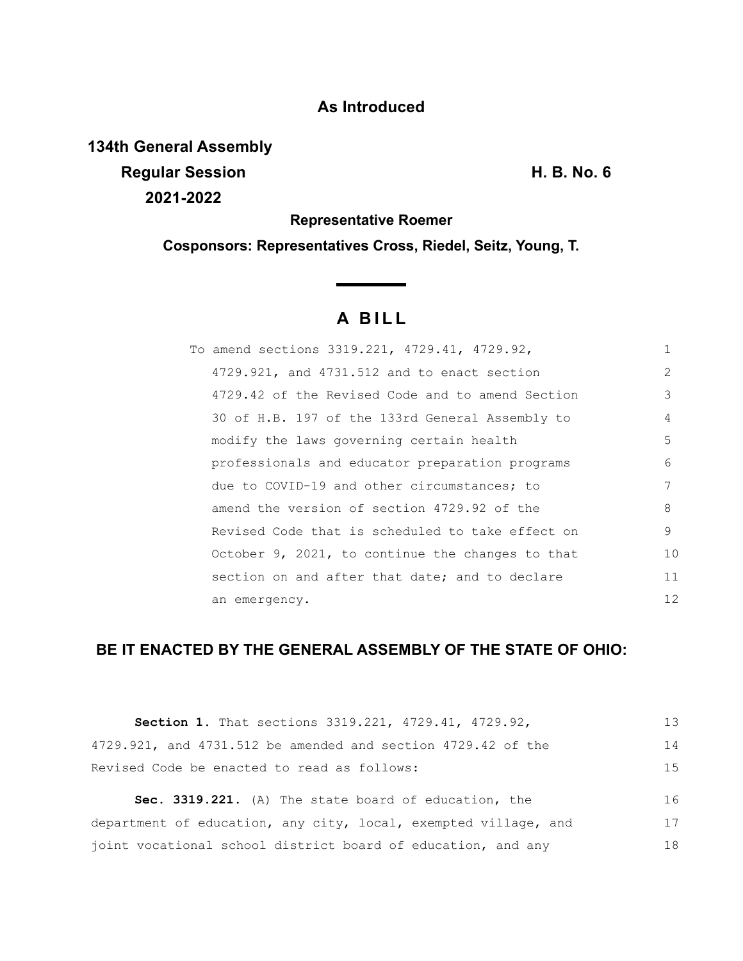# **As Introduced**

**134th General Assembly Regular Session H. B. No. 6 2021-2022**

### **Representative Roemer**

**Cosponsors: Representatives Cross, Riedel, Seitz, Young, T.**

# **A B I L L**

| To amend sections 3319.221, 4729.41, 4729.92,    |    |
|--------------------------------------------------|----|
| 4729.921, and 4731.512 and to enact section      | 2  |
| 4729.42 of the Revised Code and to amend Section | 3  |
| 30 of H.B. 197 of the 133rd General Assembly to  | 4  |
| modify the laws governing certain health         | 5  |
| professionals and educator preparation programs  | 6  |
| due to COVID-19 and other circumstances; to      | 7  |
| amend the version of section 4729.92 of the      | 8  |
| Revised Code that is scheduled to take effect on | 9  |
| October 9, 2021, to continue the changes to that | 10 |
| section on and after that date; and to declare   | 11 |
| an emergency.                                    | 12 |

# **BE IT ENACTED BY THE GENERAL ASSEMBLY OF THE STATE OF OHIO:**

| Section 1. That sections 3319.221, 4729.41, 4729.92,            | 13 |
|-----------------------------------------------------------------|----|
| 4729.921, and 4731.512 be amended and section 4729.42 of the    | 14 |
| Revised Code be enacted to read as follows:                     | 15 |
| Sec. 3319.221. (A) The state board of education, the            | 16 |
| department of education, any city, local, exempted village, and | 17 |
| joint vocational school district board of education, and any    | 18 |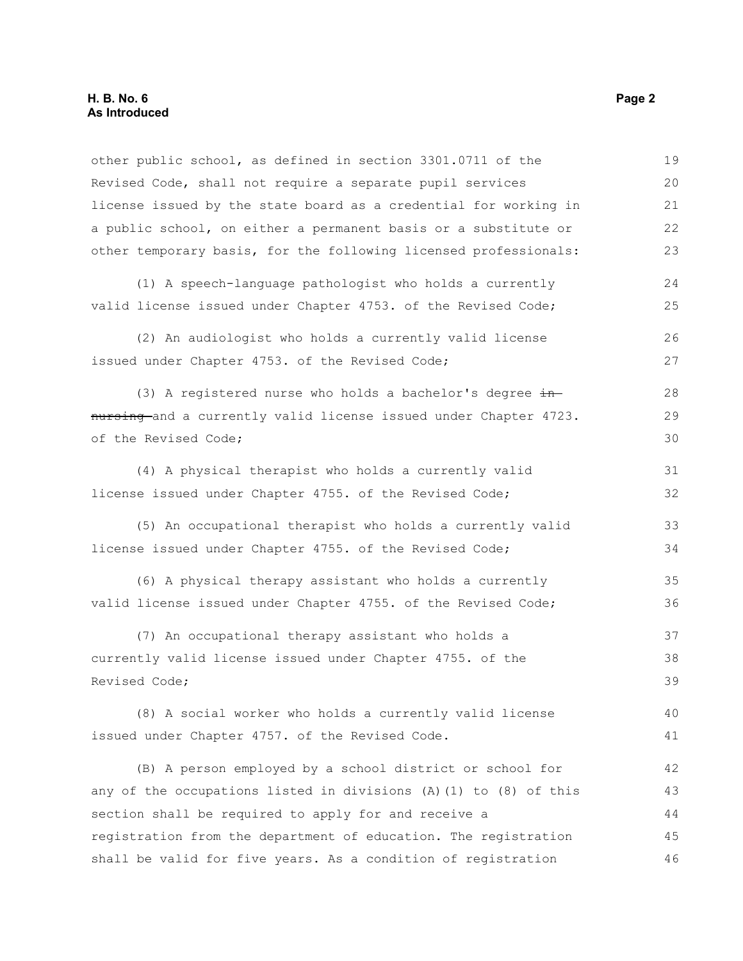| other public school, as defined in section 3301.0711 of the       | 19 |
|-------------------------------------------------------------------|----|
| Revised Code, shall not require a separate pupil services         | 20 |
| license issued by the state board as a credential for working in  | 21 |
| a public school, on either a permanent basis or a substitute or   | 22 |
| other temporary basis, for the following licensed professionals:  | 23 |
| (1) A speech-language pathologist who holds a currently           | 24 |
| valid license issued under Chapter 4753. of the Revised Code;     | 25 |
| (2) An audiologist who holds a currently valid license            | 26 |
| issued under Chapter 4753. of the Revised Code;                   | 27 |
| (3) A registered nurse who holds a bachelor's degree in           | 28 |
| nursing and a currently valid license issued under Chapter 4723.  | 29 |
| of the Revised Code;                                              | 30 |
| (4) A physical therapist who holds a currently valid              | 31 |
| license issued under Chapter 4755. of the Revised Code;           | 32 |
| (5) An occupational therapist who holds a currently valid         | 33 |
| license issued under Chapter 4755. of the Revised Code;           | 34 |
| (6) A physical therapy assistant who holds a currently            | 35 |
| valid license issued under Chapter 4755. of the Revised Code;     | 36 |
| (7) An occupational therapy assistant who holds a                 | 37 |
| currently valid license issued under Chapter 4755. of the         | 38 |
| Revised Code;                                                     | 39 |
| (8) A social worker who holds a currently valid license           | 40 |
| issued under Chapter 4757. of the Revised Code.                   | 41 |
| (B) A person employed by a school district or school for          | 42 |
| any of the occupations listed in divisions (A) (1) to (8) of this | 43 |
| section shall be required to apply for and receive a              | 44 |
| registration from the department of education. The registration   | 45 |
| shall be valid for five years. As a condition of registration     | 46 |
|                                                                   |    |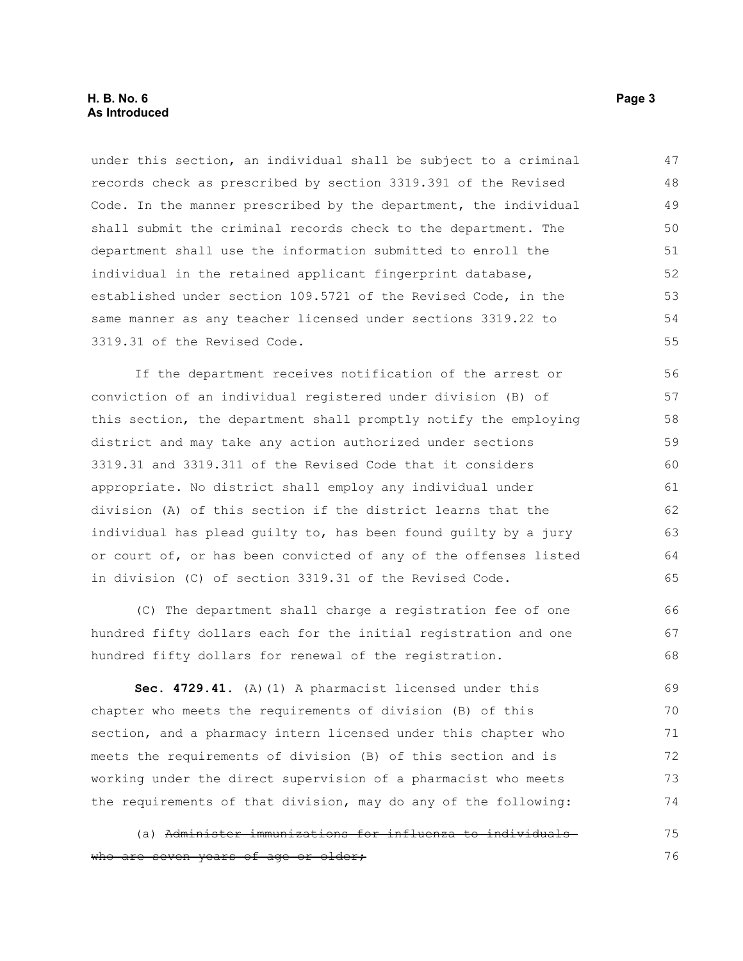#### **H. B. No. 6 Page 3 As Introduced**

under this section, an individual shall be subject to a criminal records check as prescribed by section 3319.391 of the Revised Code. In the manner prescribed by the department, the individual shall submit the criminal records check to the department. The department shall use the information submitted to enroll the individual in the retained applicant fingerprint database, established under section 109.5721 of the Revised Code, in the same manner as any teacher licensed under sections 3319.22 to 3319.31 of the Revised Code. 47 48 49 50 51 52 53 54 55

If the department receives notification of the arrest or conviction of an individual registered under division (B) of this section, the department shall promptly notify the employing district and may take any action authorized under sections 3319.31 and 3319.311 of the Revised Code that it considers appropriate. No district shall employ any individual under division (A) of this section if the district learns that the individual has plead guilty to, has been found guilty by a jury or court of, or has been convicted of any of the offenses listed in division (C) of section 3319.31 of the Revised Code. 56 57 58 59 60 61 62 63 64 65

(C) The department shall charge a registration fee of one hundred fifty dollars each for the initial registration and one hundred fifty dollars for renewal of the registration.

**Sec. 4729.41.** (A)(1) A pharmacist licensed under this chapter who meets the requirements of division (B) of this section, and a pharmacy intern licensed under this chapter who meets the requirements of division (B) of this section and is working under the direct supervision of a pharmacist who meets the requirements of that division, may do any of the following: 69 70 71 72 73 74

(a) Administer immunizations for influenza to individuals who are seven years of age or older; 75 76

66 67 68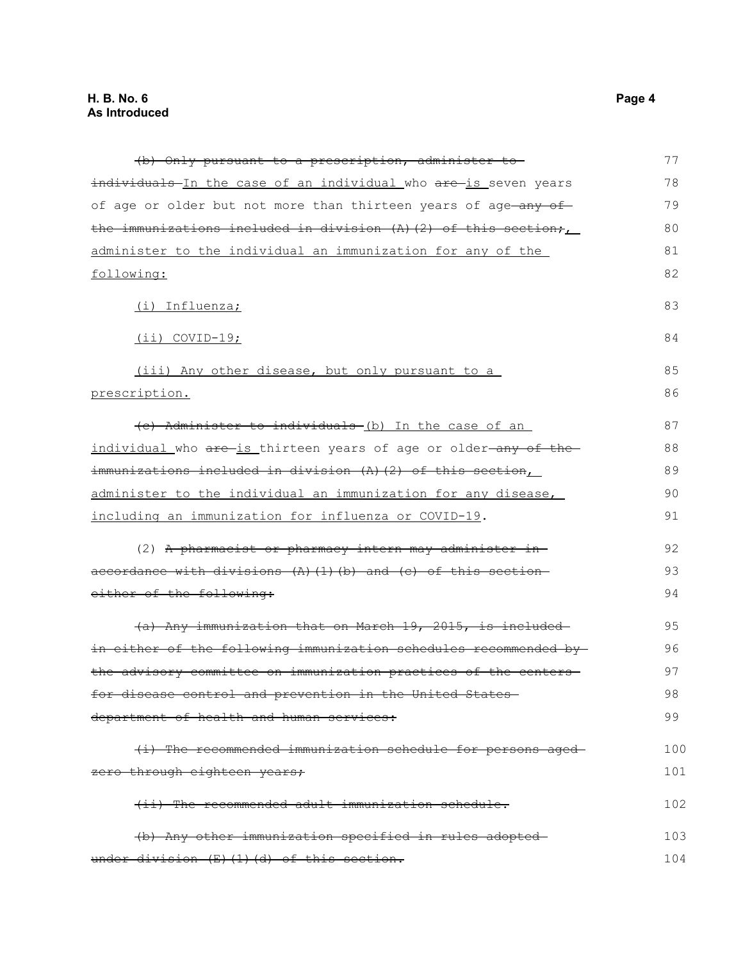| (b) Only pursuant to a prescription, administer to                     | 77  |
|------------------------------------------------------------------------|-----|
| individuals In the case of an individual who are is seven years        | 78  |
| of age or older but not more than thirteen years of age-any of-        | 79  |
| the immunizations included in division $(A)$ (2) of this section;      | 80  |
| administer to the individual an immunization for any of the            | 81  |
| following:                                                             | 82  |
| (i) Influenza;                                                         | 83  |
| (ii) COVID-19;                                                         | 84  |
| (iii) Any other disease, but only pursuant to a                        | 85  |
| prescription.                                                          | 86  |
| (c) Administer to individuals (b) In the case of an                    | 87  |
| individual who are is thirteen years of age or older-any of the        | 88  |
| immunizations included in division (A)(2) of this section,             | 89  |
| administer to the individual an immunization for any disease,          | 90  |
| including an immunization for influenza or COVID-19.                   | 91  |
| (2) A pharmacist or pharmacy intern may administer in-                 | 92  |
| accordance with divisions $(A)$ $(1)$ $(b)$ and $(c)$ of this section- | 93  |
| either of the following:                                               | 94  |
| (a) Any immunization that on March 19, 2015, is included               | 95  |
| in either of the following immunization schedules recommended by-      | 96  |
| the advisory committee on immunization practices of the centers-       | 97  |
| for disease control and prevention in the United States                | 98  |
| department of health and human services:                               | 99  |
| (i) The recommended immunization schedule for persons aged             | 100 |
| zero through eighteen years;                                           | 101 |
| (ii) The recommended adult immunization schedule.                      | 102 |
| (b) Any other immunization specified in rules adopted-                 | 103 |
| under division (E) (1) (d) of this section.                            | 104 |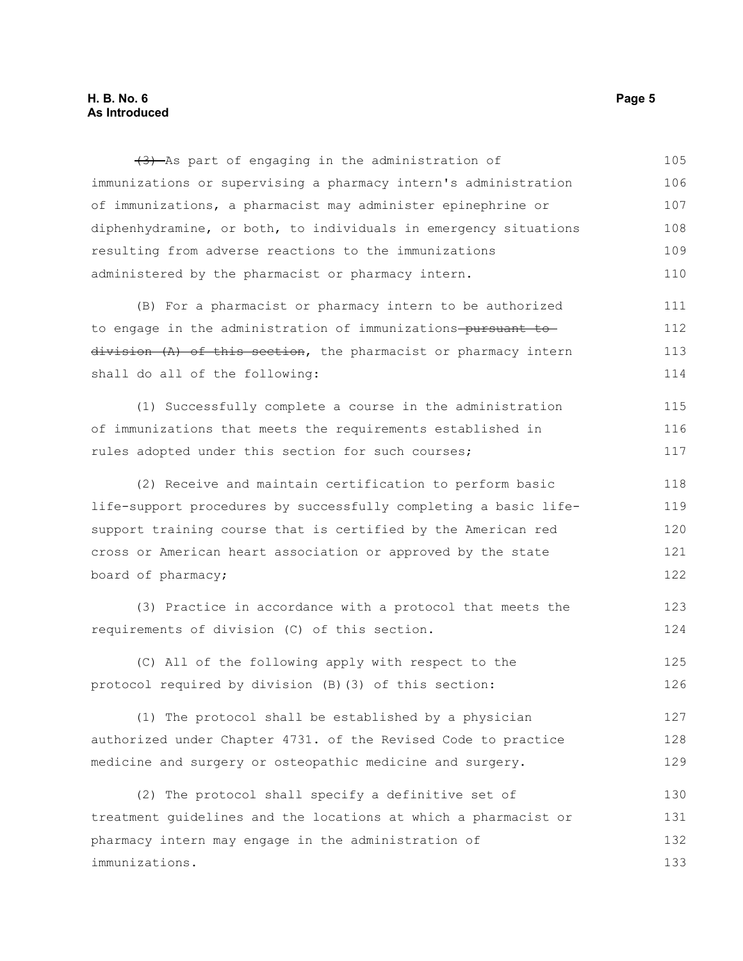#### **H. B. No. 6 Page 5 As Introduced**

(3) As part of engaging in the administration of immunizations or supervising a pharmacy intern's administration of immunizations, a pharmacist may administer epinephrine or diphenhydramine, or both, to individuals in emergency situations resulting from adverse reactions to the immunizations administered by the pharmacist or pharmacy intern. 105 106 107 108 109 110

(B) For a pharmacist or pharmacy intern to be authorized to engage in the administration of immunizations-pursuant todivision (A) of this section, the pharmacist or pharmacy intern shall do all of the following: 111 112 113 114

(1) Successfully complete a course in the administration of immunizations that meets the requirements established in rules adopted under this section for such courses; 115 116 117

(2) Receive and maintain certification to perform basic life-support procedures by successfully completing a basic lifesupport training course that is certified by the American red cross or American heart association or approved by the state board of pharmacy; 118 119 120 121 122

(3) Practice in accordance with a protocol that meets the requirements of division (C) of this section.

(C) All of the following apply with respect to the protocol required by division (B)(3) of this section: 125 126

(1) The protocol shall be established by a physician authorized under Chapter 4731. of the Revised Code to practice medicine and surgery or osteopathic medicine and surgery. 127 128 129

(2) The protocol shall specify a definitive set of treatment guidelines and the locations at which a pharmacist or pharmacy intern may engage in the administration of immunizations. 130 131 132 133

123 124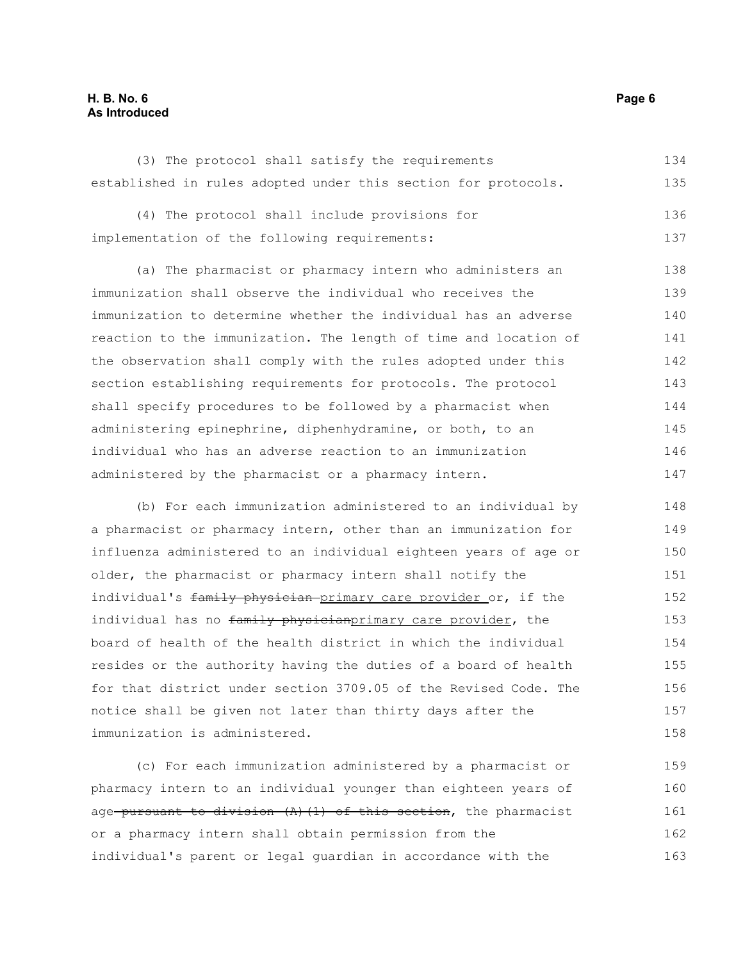#### **H. B. No. 6 Page 6 As Introduced**

|  |  |  | (3) The protocol shall satisfy the requirements |                                                                | 134 |
|--|--|--|-------------------------------------------------|----------------------------------------------------------------|-----|
|  |  |  |                                                 | established in rules adopted under this section for protocols. | 135 |

(4) The protocol shall include provisions for implementation of the following requirements: 136 137

(a) The pharmacist or pharmacy intern who administers an immunization shall observe the individual who receives the immunization to determine whether the individual has an adverse reaction to the immunization. The length of time and location of the observation shall comply with the rules adopted under this section establishing requirements for protocols. The protocol shall specify procedures to be followed by a pharmacist when administering epinephrine, diphenhydramine, or both, to an individual who has an adverse reaction to an immunization administered by the pharmacist or a pharmacy intern. 138 139 140 141 142 143 144 145 146 147

(b) For each immunization administered to an individual by a pharmacist or pharmacy intern, other than an immunization for influenza administered to an individual eighteen years of age or older, the pharmacist or pharmacy intern shall notify the individual's family physician primary care provider or, if the individual has no family physicianprimary care provider, the board of health of the health district in which the individual resides or the authority having the duties of a board of health for that district under section 3709.05 of the Revised Code. The notice shall be given not later than thirty days after the immunization is administered. 148 149 150 151 152 153 154 155 156 157 158

(c) For each immunization administered by a pharmacist or pharmacy intern to an individual younger than eighteen years of age pursuant to division  $(A)$  (1) of this section, the pharmacist or a pharmacy intern shall obtain permission from the individual's parent or legal guardian in accordance with the 159 160 161 162 163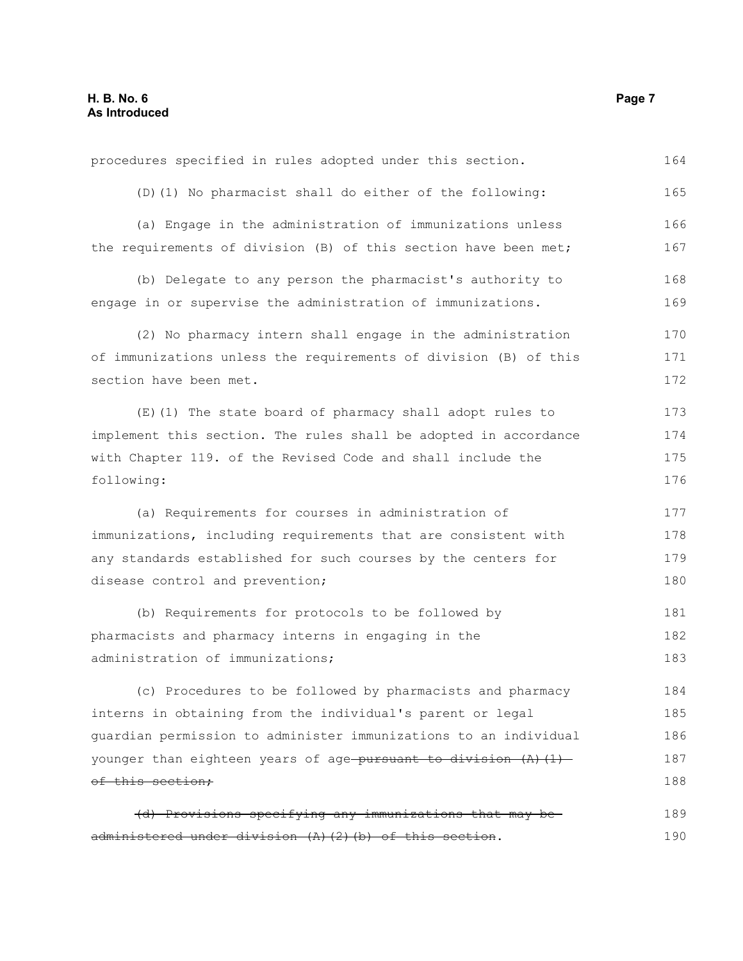| procedures specified in rules adopted under this section.                                                       | 164        |
|-----------------------------------------------------------------------------------------------------------------|------------|
| (D) (1) No pharmacist shall do either of the following:                                                         | 165        |
| (a) Engage in the administration of immunizations unless                                                        | 166        |
| the requirements of division (B) of this section have been met;                                                 | 167        |
| (b) Delegate to any person the pharmacist's authority to                                                        | 168        |
| engage in or supervise the administration of immunizations.                                                     | 169        |
| (2) No pharmacy intern shall engage in the administration                                                       | 170        |
|                                                                                                                 |            |
| of immunizations unless the requirements of division (B) of this                                                | 171        |
| section have been met.                                                                                          | 172        |
| (E) (1) The state board of pharmacy shall adopt rules to                                                        | 173        |
| implement this section. The rules shall be adopted in accordance                                                | 174        |
| with Chapter 119. of the Revised Code and shall include the                                                     | 175        |
| following:                                                                                                      | 176        |
|                                                                                                                 |            |
| (a) Requirements for courses in administration of                                                               | 177        |
| immunizations, including requirements that are consistent with                                                  | 178        |
| any standards established for such courses by the centers for                                                   | 179        |
| disease control and prevention;                                                                                 | 180        |
| (b) Requirements for protocols to be followed by                                                                | 181        |
| pharmacists and pharmacy interns in engaging in the                                                             | 182        |
| administration of immunizations;                                                                                | 183        |
| (c) Procedures to be followed by pharmacists and pharmacy                                                       | 184        |
| interns in obtaining from the individual's parent or legal                                                      | 185        |
| quardian permission to administer immunizations to an individual                                                | 186        |
| younger than eighteen years of age pursuant to division $(A)$ $(1)$                                             | 187        |
| of this section;                                                                                                | 188        |
|                                                                                                                 |            |
| (d) Provisions specifying any immunizations that may be<br>ministered under division (A)(2)(b) of this section. | 189<br>190 |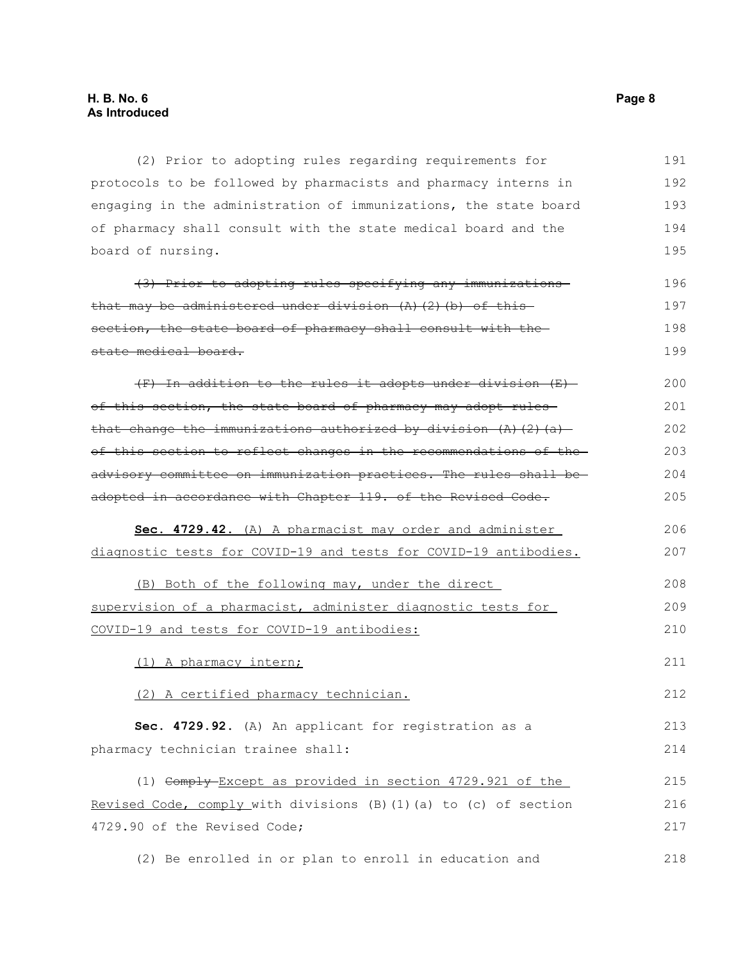(2) Prior to adopting rules regarding requirements for protocols to be followed by pharmacists and pharmacy interns in engaging in the administration of immunizations, the state board of pharmacy shall consult with the state medical board and the board of nursing. 191 192 193 194 195

| (3) Prior to adopting rules specifying any immunizations          | 196 |
|-------------------------------------------------------------------|-----|
| that may be administered under division $(A)$ $(2)$ $(b)$ of this | 197 |
| section, the state board of pharmacy shall consult with the       | 198 |
| state medical board.                                              | 199 |

(F) In addition to the rules it adopts under division (E) of this section, the state board of pharmacy may adopt rules that change the immunizations authorized by division  $(A)$   $(2)$   $(a)$ of this section to reflect changes in the recommendations of the advisory committee on immunization practices. The rules shall be adopted in accordance with Chapter 119. of the Revised Code. 200 201 202 203 204 205

 **Sec. 4729.42.** (A) A pharmacist may order and administer diagnostic tests for COVID-19 and tests for COVID-19 antibodies. 206 207

(B) Both of the following may, under the direct supervision of a pharmacist, administer diagnostic tests for COVID-19 and tests for COVID-19 antibodies: 208 209 210

(1) A pharmacy intern;

(2) A certified pharmacy technician.

**Sec. 4729.92.** (A) An applicant for registration as a pharmacy technician trainee shall:

(1) Comply Except as provided in section 4729.921 of the Revised Code, comply with divisions (B)(1)(a) to (c) of section 4729.90 of the Revised Code; 215 216 217

(2) Be enrolled in or plan to enroll in education and 218

211

212

213 214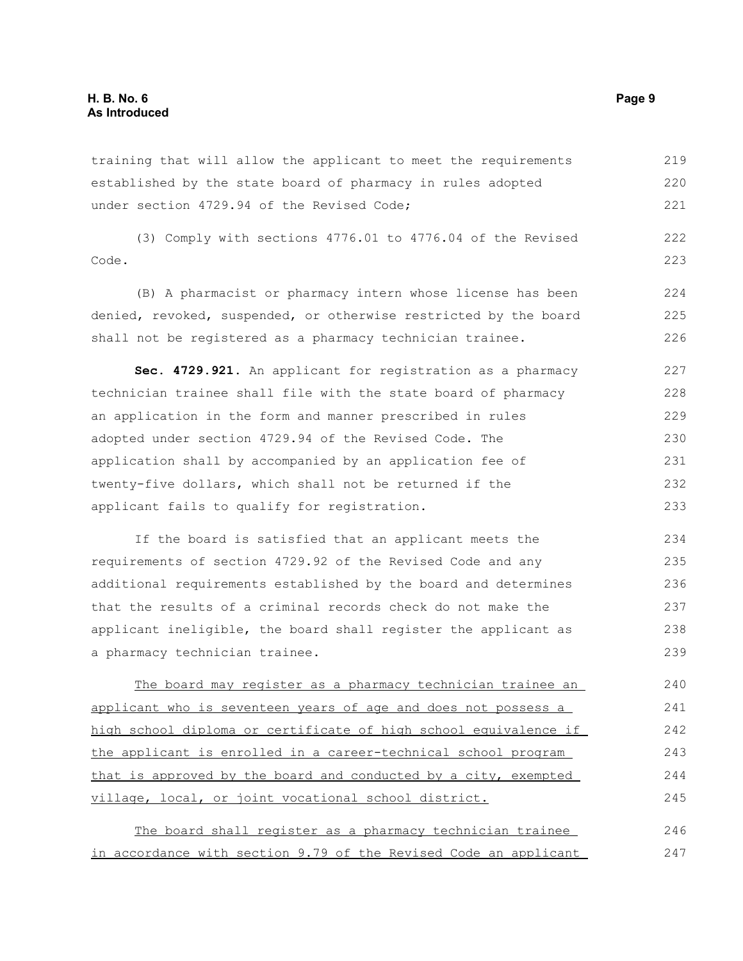training that will allow the applicant to meet the requirements established by the state board of pharmacy in rules adopted under section 4729.94 of the Revised Code; 219 220 221

(3) Comply with sections 4776.01 to 4776.04 of the Revised Code. 222 223

(B) A pharmacist or pharmacy intern whose license has been denied, revoked, suspended, or otherwise restricted by the board shall not be registered as a pharmacy technician trainee. 224 225 226

**Sec. 4729.921.** An applicant for registration as a pharmacy technician trainee shall file with the state board of pharmacy an application in the form and manner prescribed in rules adopted under section 4729.94 of the Revised Code. The application shall by accompanied by an application fee of twenty-five dollars, which shall not be returned if the applicant fails to qualify for registration. 227 228 229 230 231 232 233

If the board is satisfied that an applicant meets the requirements of section 4729.92 of the Revised Code and any additional requirements established by the board and determines that the results of a criminal records check do not make the applicant ineligible, the board shall register the applicant as a pharmacy technician trainee. 234 235 236 237 238 239

The board may register as a pharmacy technician trainee an applicant who is seventeen years of age and does not possess a high school diploma or certificate of high school equivalence if the applicant is enrolled in a career-technical school program that is approved by the board and conducted by a city, exempted village, local, or joint vocational school district. 240 241 242 243 244 245

|  |  |  |  |  | The board shall register as a pharmacy technician trainee        | 246 |
|--|--|--|--|--|------------------------------------------------------------------|-----|
|  |  |  |  |  | in accordance with section 9.79 of the Revised Code an applicant | 247 |
|  |  |  |  |  |                                                                  |     |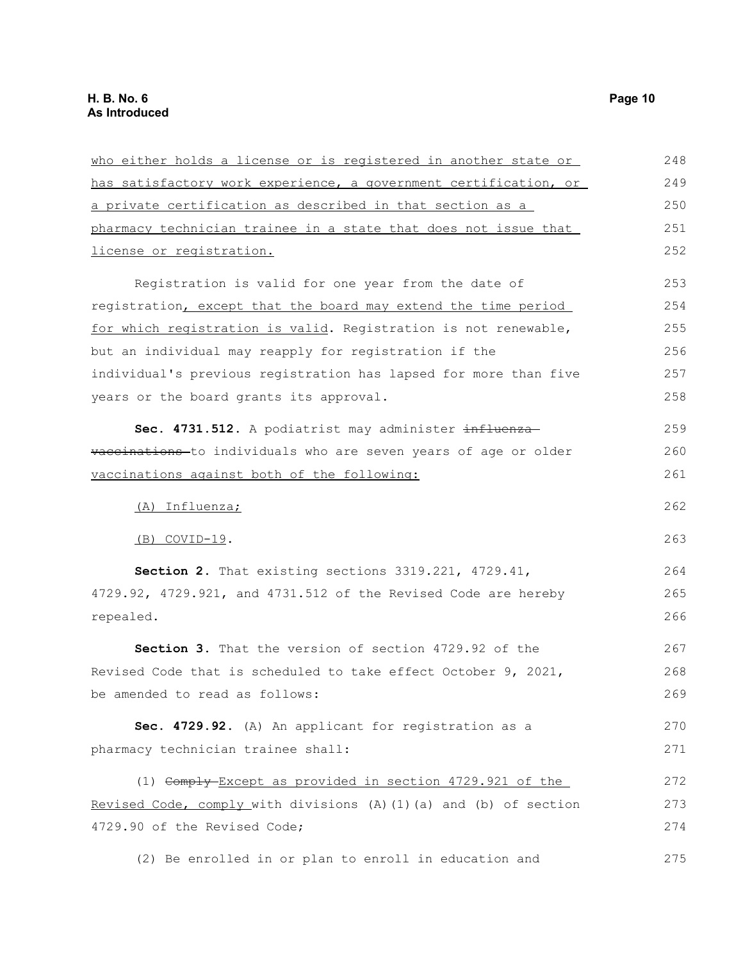| who either holds a license or is registered in another state or    | 248 |
|--------------------------------------------------------------------|-----|
| has satisfactory work experience, a government certification, or   | 249 |
| a private certification as described in that section as a          | 250 |
| pharmacy technician trainee in a state that does not issue that    | 251 |
| license or registration.                                           | 252 |
| Registration is valid for one year from the date of                | 253 |
| registration, except that the board may extend the time period     | 254 |
| for which registration is valid. Registration is not renewable,    | 255 |
| but an individual may reapply for registration if the              | 256 |
| individual's previous registration has lapsed for more than five   | 257 |
| years or the board grants its approval.                            | 258 |
| Sec. 4731.512. A podiatrist may administer influenza-              | 259 |
| vaccinations to individuals who are seven years of age or older    | 260 |
| vaccinations against both of the following:                        | 261 |
| (A) Influenza;                                                     | 262 |
| $(B)$ COVID-19.                                                    | 263 |
| Section 2. That existing sections 3319.221, 4729.41,               | 264 |
| 4729.92, 4729.921, and 4731.512 of the Revised Code are hereby     | 265 |
| repealed.                                                          | 266 |
| Section 3. That the version of section 4729.92 of the              | 267 |
| Revised Code that is scheduled to take effect October 9, 2021,     | 268 |
| be amended to read as follows:                                     | 269 |
| Sec. 4729.92. (A) An applicant for registration as a               | 270 |
| pharmacy technician trainee shall:                                 | 271 |
| (1) Comply-Except as provided in section 4729.921 of the           | 272 |
| Revised Code, comply with divisions (A) (1) (a) and (b) of section | 273 |
| 4729.90 of the Revised Code;                                       | 274 |
| (2) Be enrolled in or plan to enroll in education and              | 275 |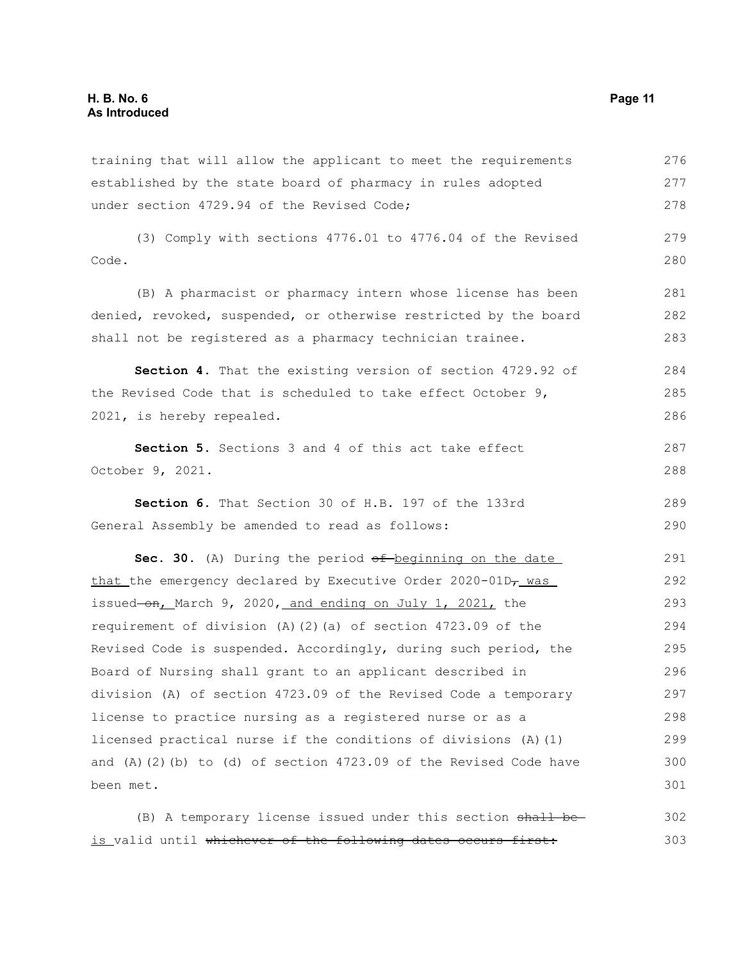training that will allow the applicant to meet the requirements established by the state board of pharmacy in rules adopted under section 4729.94 of the Revised Code; 276 277 278

(3) Comply with sections 4776.01 to 4776.04 of the Revised Code. 279 280

(B) A pharmacist or pharmacy intern whose license has been denied, revoked, suspended, or otherwise restricted by the board shall not be registered as a pharmacy technician trainee. 281 282 283

**Section 4.** That the existing version of section 4729.92 of the Revised Code that is scheduled to take effect October 9, 2021, is hereby repealed. 284 285 286

**Section 5.** Sections 3 and 4 of this act take effect October 9, 2021. 287 288

**Section 6.** That Section 30 of H.B. 197 of the 133rd General Assembly be amended to read as follows: 289 290

**Sec. 30.** (A) During the period  $\theta$ f beginning on the date that the emergency declared by Executive Order  $2020-01D<sub>T</sub>$  was issued-on, March 9, 2020, and ending on July 1, 2021, the requirement of division (A)(2)(a) of section 4723.09 of the Revised Code is suspended. Accordingly, during such period, the Board of Nursing shall grant to an applicant described in division (A) of section 4723.09 of the Revised Code a temporary license to practice nursing as a registered nurse or as a licensed practical nurse if the conditions of divisions (A)(1) and  $(A)$   $(2)$   $(b)$  to  $(d)$  of section 4723.09 of the Revised Code have been met. 291 292 293 294 295 296 297 298 299 300 301

 $(B)$  A temporary license issued under this section  $shath be$ is valid until whichever of the following dates occurs first: 302 303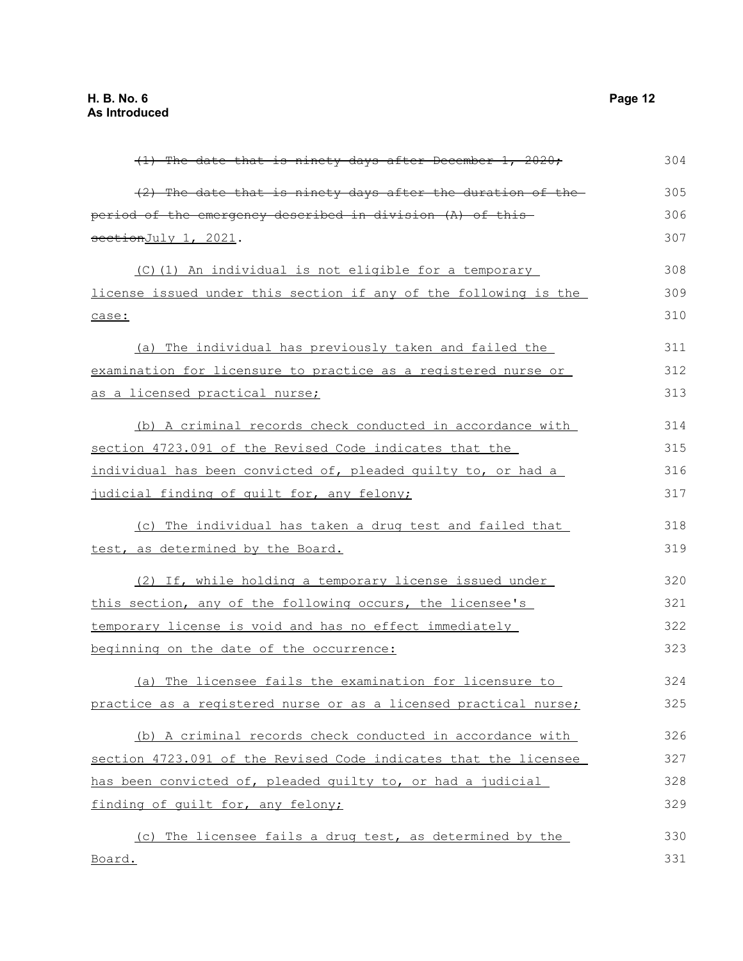| $(1)$ The date that is ninety days after December 1, 2020;       | 304 |
|------------------------------------------------------------------|-----|
| (2) The date that is ninety days after the duration of the       | 305 |
| period of the emergency described in division (A) of this-       | 306 |
| sectionJuly 1, 2021.                                             | 307 |
| (C)(1) An individual is not eligible for a temporary             | 308 |
| license issued under this section if any of the following is the | 309 |
| case:                                                            | 310 |
| (a) The individual has previously taken and failed the           | 311 |
| examination for licensure to practice as a registered nurse or   | 312 |
| as a licensed practical nurse;                                   | 313 |
| (b) A criminal records check conducted in accordance with        | 314 |
| section 4723.091 of the Revised Code indicates that the          | 315 |
| individual has been convicted of, pleaded quilty to, or had a    | 316 |
| judicial finding of quilt for, any felony;                       | 317 |
| (c) The individual has taken a drug test and failed that         | 318 |
| test, as determined by the Board.                                | 319 |
| (2) If, while holding a temporary license issued under           | 320 |
| this section, any of the following occurs, the licensee's        | 321 |
| temporary license is void and has no effect immediately          | 322 |
| beginning on the date of the occurrence:                         | 323 |
| (a) The licensee fails the examination for licensure to          | 324 |
| practice as a registered nurse or as a licensed practical nurse; | 325 |
| (b) A criminal records check conducted in accordance with        | 326 |
| section 4723.091 of the Revised Code indicates that the licensee | 327 |
| has been convicted of, pleaded guilty to, or had a judicial      | 328 |
| finding of guilt for, any felony;                                | 329 |
| (c) The licensee fails a drug test, as determined by the         | 330 |
| Board.                                                           | 331 |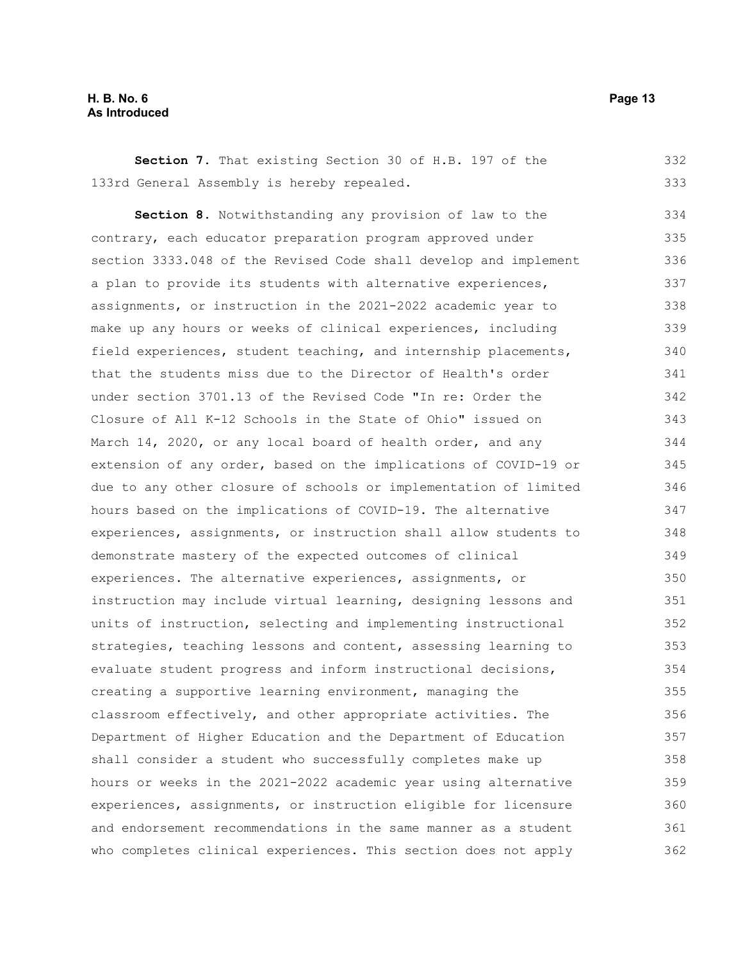#### **H. B. No. 6 Page 13 As Introduced**

**Section 7.** That existing Section 30 of H.B. 197 of the 133rd General Assembly is hereby repealed. 332 333

**Section 8.** Notwithstanding any provision of law to the contrary, each educator preparation program approved under section 3333.048 of the Revised Code shall develop and implement a plan to provide its students with alternative experiences, assignments, or instruction in the 2021-2022 academic year to make up any hours or weeks of clinical experiences, including field experiences, student teaching, and internship placements, that the students miss due to the Director of Health's order under section 3701.13 of the Revised Code "In re: Order the Closure of All K-12 Schools in the State of Ohio" issued on March 14, 2020, or any local board of health order, and any extension of any order, based on the implications of COVID-19 or due to any other closure of schools or implementation of limited hours based on the implications of COVID-19. The alternative experiences, assignments, or instruction shall allow students to demonstrate mastery of the expected outcomes of clinical experiences. The alternative experiences, assignments, or instruction may include virtual learning, designing lessons and units of instruction, selecting and implementing instructional strategies, teaching lessons and content, assessing learning to evaluate student progress and inform instructional decisions, creating a supportive learning environment, managing the classroom effectively, and other appropriate activities. The Department of Higher Education and the Department of Education shall consider a student who successfully completes make up hours or weeks in the 2021-2022 academic year using alternative experiences, assignments, or instruction eligible for licensure and endorsement recommendations in the same manner as a student who completes clinical experiences. This section does not apply 334 335 336 337 338 339 340 341 342 343 344 345 346 347 348 349 350 351 352 353 354 355 356 357 358 359 360 361 362